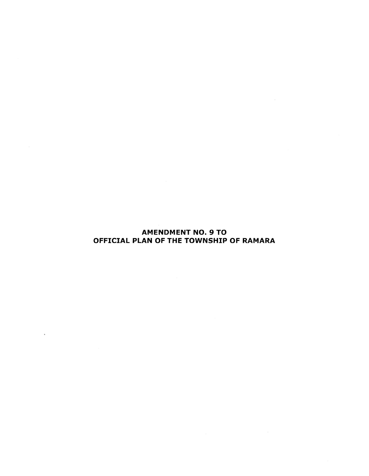# AMENDMENT NO. 9 TO OFFICIAL PLAN OF THE TOWNSHIP OF RAMARA

 $\mathcal{A}^{\text{max}}_{\text{max}}$ 

 $\mathcal{A}^{\text{max}}_{\text{max}}$  and  $\mathcal{A}^{\text{max}}_{\text{max}}$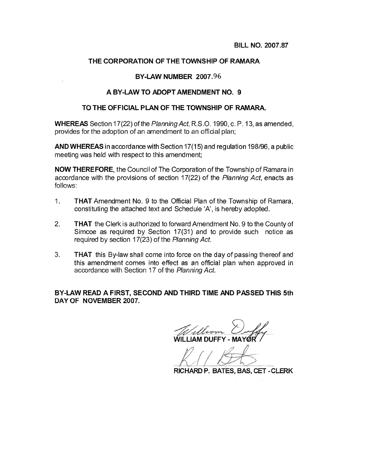#### THE CORPORATION OF THE TOWNSHIP OF RAMARA

#### BY-LAW NUMBER 2007.96

#### A BY-LAW TO ADOPT AMENDMENT NO. 9

#### TO THE OFFICIAL PLAN OF THE TOWNSHIP OF RAMARA.

**WHEREAS** Section 17(22) of the Planning Act, R.S.O. 1990, c. P. 13, as amended, provides for the adoption of an amendment to an official plan;

AND WHEREAS in accordance with Section 17(15) and regulation 198/96, a public meeting was held with respect to this amendment;

**NOW THEREFORE, the Council of The Corporation of the Township of Ramara in** accordance with the provisions of section 17(22) of the Planning Act, enacts as follows:

- $1.$ **THAT** Amendment No. 9 to the Official Plan of the Township of Ramara. constituting the attached text and Schedule 'A', is hereby adopted.
- $2<sup>2</sup>$ **THAT** the Clerk is authorized to forward Amendment No. 9 to the County of Simcoe as required by Section 17(31) and to provide such notice as required by section 17(23) of the Planning Act.
- 3. **THAT** this By-law shall come into force on the day of passing thereof and this amendment comes into effect as an official plan when approved in accordance with Section 17 of the Planning Act.

BY-LAW READ A FIRST. SECOND AND THIRD TIME AND PASSED THIS 5th DAY OF NOVEMBER 2007.

**II I IAM DUFFY - M** 

RICHARD P. BATES, BAS, CET - CLERK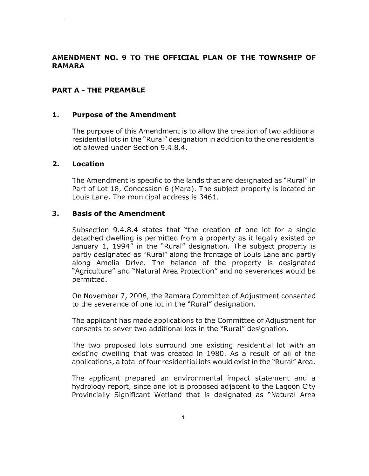# AMENDMENT NO. 9 TO THE OFFICIAL PLAN OF THE TOWNSHIP OF **RAMARA**

## PART A - THE PREAMBLE

#### 1. Purpose of the Amendment

The purpose of this Amendment is to allow the creation of two additional residential lots in the "Rural" designation in addition to the one residential lot allowed under Section 9.4.8.4.

#### 2. Location

The Amendment is specific to the lands that are designated as "Rural" in Part of Lot 18, Concession 6 (Mara). The subject property is located on Louis Lane. The municipal address is 3461.

#### 3. Basis of the Amendment

Subsection 9.4.8.4 states that ''the creation of one Iot for a single detached dwelling is permitted from a property as it legally existed on January 1, 1994" in the "Rural" designation. The subject property is partly designated as "Rural" along the frontage of Louis Lane and partly along Amelia Drive. The balance of the property is designated "Agriculture" and "Natural Area Protection" and no severances would be permitted.

On November 7, 2006, the Ramara Committee of Adjustment consented to the severance of one lot in the "Rural" designation.

The applicant has made applications to the Committee of Adjustment for consents to sever two additional lots in the "Rural" designation.

The two proposed lots surround one existing residential lot with an existing dwelling that was created in 1980. As a result of all of the applications, a total of four residential lots would exist in the "Rural" Area.

The applicant prepared an environmental impact statement and a hydrology report, since one lot is proposed adjacent to the Lagoon City Provincially Significant Wetland that is designated as "Natural Area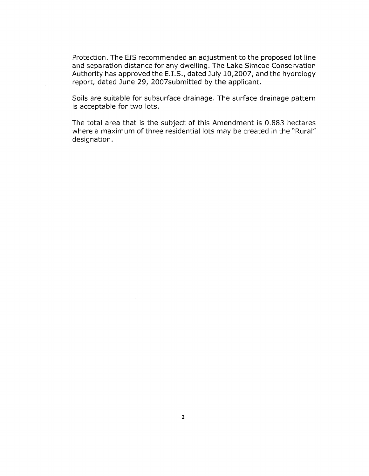Protection. The EIS recommended an adjustment to the proposed lot line and separation distance for any dwelling. The Lake Simcoe Conservation Authority has approved the E.I.S., dated July 10,2007, and the hydrology report, dated June 29, 2007 submitted by the applicant.

Soils are suitable for subsurface drainage. The surface drainage pattern is acceptable for two lots.

The total area that is the subject of this Amendment is 0.883 hectares where a maximum of three residential lots may be created in the "Rural" designation.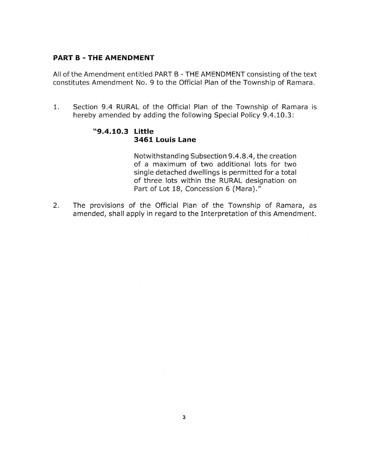#### PART B - THE AMENDMENT

All of the Amendment entitled PART B - THE AMENDMENT consisting of the text constitutes Amendment No. 9 to the Official Plan of the Township of Ramara.

1. Section 9.4 RURAL of the Official Plan of the Township of Ramara is hereby amended by adding the following Special Policy 9.4.10.3:

# '19.4.10.3 Little 3461 Louis Lane

Notwithstanding Subsection 9.4.8.4, the creation of a maximum of two additional lots for two single detached dwellings is permitted for a total of three lots within the RURAL designation on Part of Lot 18, Concession 6 (Mara)."

The provisions of the Official Plan of the Township of Ramara, as am ended, shall apply in regard to the Interpretation of this Am endment. 2.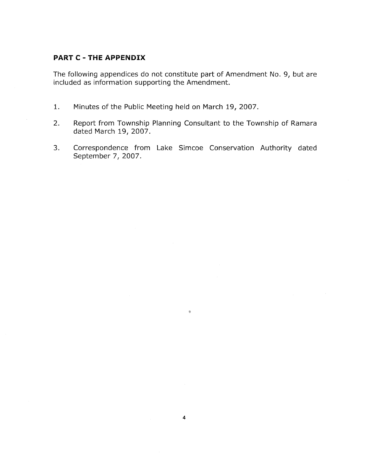# **PART C - THE APPENDIX**

The following appendices do not constitute part of Amendment No. 9, but are included as information supporting the Amendment.

- $1.$ Minutes of the Public Meeting held on March 19, 2007.
- Report from Township Planning Consultant to the Township of Ramara  $2.$ dated March 19, 2007.
- Correspondence from Lake Simcoe Conservation Authority dated  $3.$ September 7, 2007.